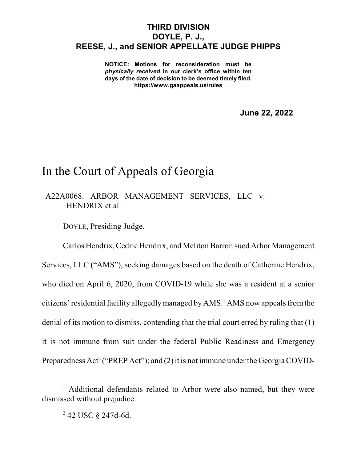## **THIRD DIVISION DOYLE, P. J., REESE, J., and SENIOR APPELLATE JUDGE PHIPPS**

**NOTICE: Motions for reconsideration must be** *physically received* **in our clerk's office within ten days of the date of decision to be deemed timely filed. https://www.gaappeals.us/rules**

**June 22, 2022**

## In the Court of Appeals of Georgia

A22A0068. ARBOR MANAGEMENT SERVICES, LLC v. HENDRIX et al.

DOYLE, Presiding Judge.

Carlos Hendrix, Cedric Hendrix, and Meliton Barron sued Arbor Management Services, LLC ("AMS"), seeking damages based on the death of Catherine Hendrix, who died on April 6, 2020, from COVID-19 while she was a resident at a senior citizens' residential facility allegedly managed by AMS.<sup>1</sup> AMS now appeals from the denial of its motion to dismiss, contending that the trial court erred by ruling that (1) it is not immune from suit under the federal Public Readiness and Emergency Preparedness Act<sup>2</sup> ("PREP Act"); and (2) it is not immune under the Georgia COVID-

<sup>&</sup>lt;sup>1</sup> Additional defendants related to Arbor were also named, but they were dismissed without prejudice.

<sup>2</sup> 42 USC § 247d-6d.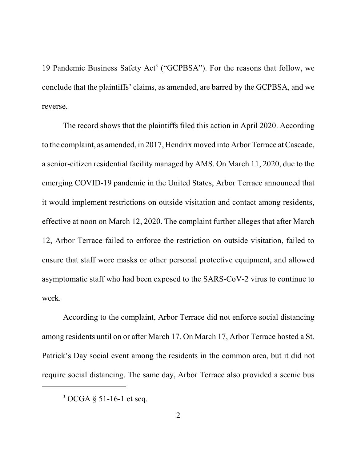19 Pandemic Business Safety Act<sup>3</sup> ("GCPBSA"). For the reasons that follow, we conclude that the plaintiffs' claims, as amended, are barred by the GCPBSA, and we reverse.

The record shows that the plaintiffs filed this action in April 2020. According to the complaint, as amended, in 2017, Hendrix moved into Arbor Terrace atCascade, a senior-citizen residential facility managed by AMS. On March 11, 2020, due to the emerging COVID-19 pandemic in the United States, Arbor Terrace announced that it would implement restrictions on outside visitation and contact among residents, effective at noon on March 12, 2020. The complaint further alleges that after March 12, Arbor Terrace failed to enforce the restriction on outside visitation, failed to ensure that staff wore masks or other personal protective equipment, and allowed asymptomatic staff who had been exposed to the SARS-CoV-2 virus to continue to work.

According to the complaint, Arbor Terrace did not enforce social distancing among residents until on or after March 17. On March 17, Arbor Terrace hosted a St. Patrick's Day social event among the residents in the common area, but it did not require social distancing. The same day, Arbor Terrace also provided a scenic bus

 $3$  OCGA  $\S$  51-16-1 et seq.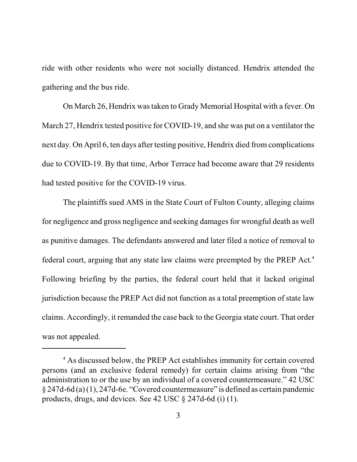ride with other residents who were not socially distanced. Hendrix attended the gathering and the bus ride.

On March 26, Hendrix wastaken to Grady Memorial Hospital with a fever. On March 27, Hendrix tested positive for COVID-19, and she was put on a ventilator the next day. On April 6, ten days after testing positive, Hendrix died from complications due to COVID-19. By that time, Arbor Terrace had become aware that 29 residents had tested positive for the COVID-19 virus.

The plaintiffs sued AMS in the State Court of Fulton County, alleging claims for negligence and gross negligence and seeking damages for wrongful death as well as punitive damages. The defendants answered and later filed a notice of removal to federal court, arguing that any state law claims were preempted by the PREP Act.<sup>4</sup> Following briefing by the parties, the federal court held that it lacked original jurisdiction because the PREP Act did not function as a total preemption of state law claims. Accordingly, it remanded the case back to the Georgia state court. That order was not appealed.

<sup>&</sup>lt;sup>4</sup> As discussed below, the PREP Act establishes immunity for certain covered persons (and an exclusive federal remedy) for certain claims arising from "the administration to or the use by an individual of a covered countermeasure." 42 USC  $\S 247d-6d$  (a) (1), 247d-6e. "Covered countermeasure" is defined as certain pandemic products, drugs, and devices. See 42 USC § 247d-6d (i) (1).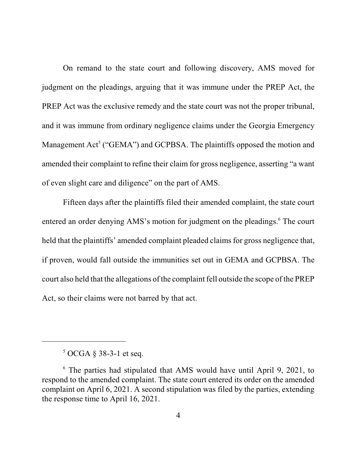On remand to the state court and following discovery, AMS moved for judgment on the pleadings, arguing that it was immune under the PREP Act, the PREP Act was the exclusive remedy and the state court was not the proper tribunal, and it was immune from ordinary negligence claims under the Georgia Emergency Management Act<sup>5</sup> ("GEMA") and GCPBSA. The plaintiffs opposed the motion and amended their complaint to refine their claim for gross negligence, asserting "a want of even slight care and diligence" on the part of AMS.

Fifteen days after the plaintiffs filed their amended complaint, the state court entered an order denying AMS's motion for judgment on the pleadings.<sup>6</sup> The court held that the plaintiffs' amended complaint pleaded claims for gross negligence that, if proven, would fall outside the immunities set out in GEMA and GCPBSA. The court also held that the allegations of the complaint fell outside the scope of the PREP Act, so their claims were not barred by that act.

 $5$  OCGA § 38-3-1 et seq.

<sup>6</sup> The parties had stipulated that AMS would have until April 9, 2021, to respond to the amended complaint. The state court entered its order on the amended complaint on April 6, 2021. A second stipulation was filed by the parties, extending the response time to April 16, 2021.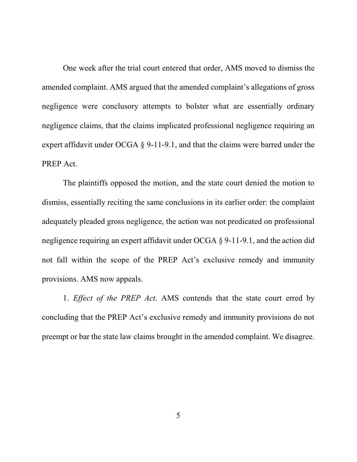One week after the trial court entered that order, AMS moved to dismiss the amended complaint. AMS argued that the amended complaint's allegations of gross negligence were conclusory attempts to bolster what are essentially ordinary negligence claims, that the claims implicated professional negligence requiring an expert affidavit under OCGA § 9-11-9.1, and that the claims were barred under the PREP Act.

The plaintiffs opposed the motion, and the state court denied the motion to dismiss, essentially reciting the same conclusions in its earlier order: the complaint adequately pleaded gross negligence, the action was not predicated on professional negligence requiring an expert affidavit under OCGA § 9-11-9.1, and the action did not fall within the scope of the PREP Act's exclusive remedy and immunity provisions. AMS now appeals.

1. *Effect of the PREP Act*. AMS contends that the state court erred by concluding that the PREP Act's exclusive remedy and immunity provisions do not preempt or bar the state law claims brought in the amended complaint. We disagree.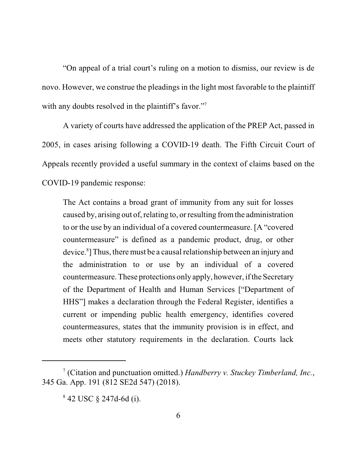"On appeal of a trial court's ruling on a motion to dismiss, our review is de novo. However, we construe the pleadings in the light most favorable to the plaintiff with any doubts resolved in the plaintiff's favor."<sup>7</sup>

A variety of courts have addressed the application of the PREP Act, passed in 2005, in cases arising following a COVID-19 death. The Fifth Circuit Court of Appeals recently provided a useful summary in the context of claims based on the COVID-19 pandemic response:

The Act contains a broad grant of immunity from any suit for losses caused by, arising out of, relating to, or resulting fromthe administration to or the use by an individual of a covered countermeasure. [A "covered countermeasure" is defined as a pandemic product, drug, or other device.<sup>8</sup> ]Thus, there must be a causal relationship between an injury and the administration to or use by an individual of a covered countermeasure. These protections only apply, however, if the Secretary of the Department of Health and Human Services ["Department of HHS"] makes a declaration through the Federal Register, identifies a current or impending public health emergency, identifies covered countermeasures, states that the immunity provision is in effect, and meets other statutory requirements in the declaration. Courts lack

<sup>7</sup> (Citation and punctuation omitted.) *Handberry v. Stuckey Timberland, Inc.*, 345 Ga. App. 191 (812 SE2d 547) (2018).

<sup>8</sup> 42 USC § 247d-6d (i).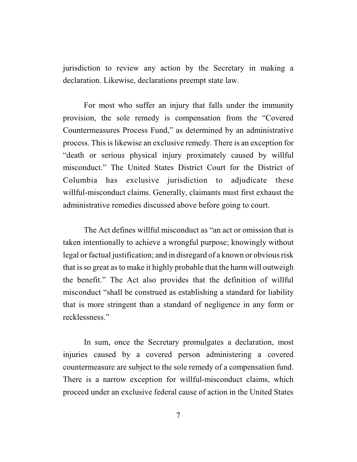jurisdiction to review any action by the Secretary in making a declaration. Likewise, declarations preempt state law.

For most who suffer an injury that falls under the immunity provision, the sole remedy is compensation from the "Covered Countermeasures Process Fund," as determined by an administrative process. This is likewise an exclusive remedy. There is an exception for "death or serious physical injury proximately caused by willful misconduct." The United States District Court for the District of Columbia has exclusive jurisdiction to adjudicate these willful-misconduct claims. Generally, claimants must first exhaust the administrative remedies discussed above before going to court.

The Act defines willful misconduct as "an act or omission that is taken intentionally to achieve a wrongful purpose; knowingly without legal or factual justification; and in disregard of a known or obvious risk that isso great as to make it highly probable that the harm will outweigh the benefit." The Act also provides that the definition of willful misconduct "shall be construed as establishing a standard for liability that is more stringent than a standard of negligence in any form or recklessness."

In sum, once the Secretary promulgates a declaration, most injuries caused by a covered person administering a covered countermeasure are subject to the sole remedy of a compensation fund. There is a narrow exception for willful-misconduct claims, which proceed under an exclusive federal cause of action in the United States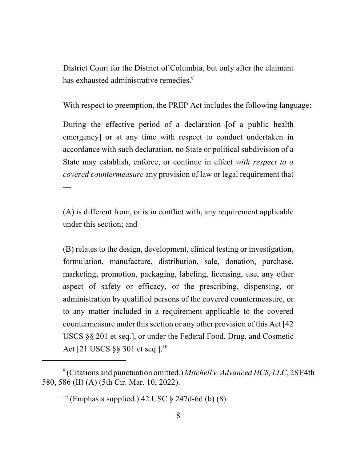District Court for the District of Columbia, but only after the claimant has exhausted administrative remedies.<sup>9</sup>

With respect to preemption, the PREP Act includes the following language:

During the effective period of a declaration [of a public health emergency] or at any time with respect to conduct undertaken in accordance with such declaration, no State or political subdivision of a State may establish, enforce, or continue in effect *with respect to a covered countermeasure* any provision of law or legal requirement that —

(A) is different from, or is in conflict with, any requirement applicable under this section; and

(B) relates to the design, development, clinical testing or investigation, formulation, manufacture, distribution, sale, donation, purchase, marketing, promotion, packaging, labeling, licensing, use, any other aspect of safety or efficacy, or the prescribing, dispensing, or administration by qualified persons of the covered countermeasure, or to any matter included in a requirement applicable to the covered countermeasure under this section or any other provision of this Act [42] USCS §§ 201 et seq.], or under the Federal Food, Drug, and Cosmetic Act [21 USCS §§ 301 et seq.].<sup>10</sup>

<sup>9</sup> (Citations and punctuation omitted.) *Mitchell v. Advanced HCS, LLC*, 28 F4th 580, 586 (II) (A) (5th Cir. Mar. 10, 2022).

 $10$  (Emphasis supplied.) 42 USC  $\S$  247d-6d (b) (8).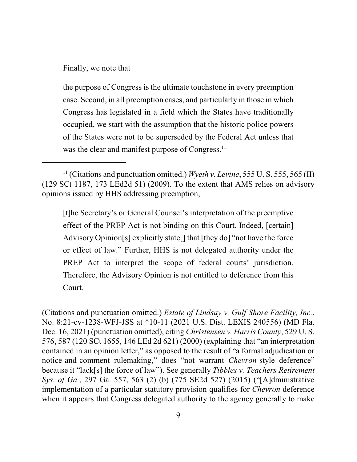Finally, we note that

the purpose of Congress is the ultimate touchstone in every preemption case. Second, in all preemption cases, and particularly in those in which Congress has legislated in a field which the States have traditionally occupied, we start with the assumption that the historic police powers of the States were not to be superseded by the Federal Act unless that was the clear and manifest purpose of Congress.<sup>11</sup>

[t]he Secretary's or General Counsel's interpretation of the preemptive effect of the PREP Act is not binding on this Court. Indeed, [certain] Advisory Opinion[s] explicitly state[] that [they do] "not have the force or effect of law." Further, HHS is not delegated authority under the PREP Act to interpret the scope of federal courts' jurisdiction. Therefore, the Advisory Opinion is not entitled to deference from this Court.

(Citations and punctuation omitted.) *Estate of Lindsay v. Gulf Shore Facility, Inc.*, No. 8:21-cv-1238-WFJ-JSS at \*10-11 (2021 U.S. Dist. LEXIS 240556) (MD Fla. Dec. 16, 2021) (punctuation omitted), citing *Christensen v. Harris County*, 529 U. S. 576, 587 (120 SCt 1655, 146 LEd 2d 621) (2000) (explaining that "an interpretation contained in an opinion letter," as opposed to the result of "a formal adjudication or notice-and-comment rulemaking," does "not warrant *Chevron*-style deference" because it "lack[s] the force of law"). See generally *Tibbles v. Teachers Retirement Sys. of Ga.*, 297 Ga. 557, 563 (2) (b) (775 SE2d 527) (2015) ("[A]dministrative implementation of a particular statutory provision qualifies for *Chevron* deference when it appears that Congress delegated authority to the agency generally to make

<sup>&</sup>lt;sup>11</sup> (Citations and punctuation omitted.) *Wyeth v. Levine*, 555 U. S. 555, 565 (II) (129 SCt 1187, 173 LEd2d 51) (2009). To the extent that AMS relies on advisory opinions issued by HHS addressing preemption,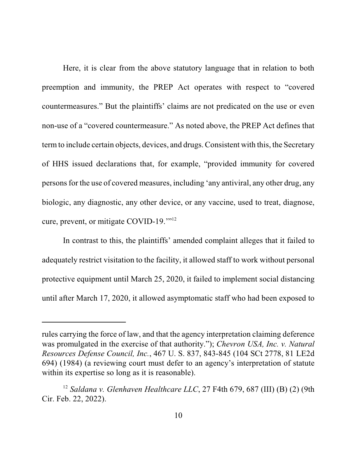Here, it is clear from the above statutory language that in relation to both preemption and immunity, the PREP Act operates with respect to "covered countermeasures." But the plaintiffs' claims are not predicated on the use or even non-use of a "covered countermeasure." As noted above, the PREP Act defines that termto include certain objects, devices, and drugs. Consistent with this, the Secretary of HHS issued declarations that, for example, "provided immunity for covered persons for the use of covered measures, including 'any antiviral, any other drug, any biologic, any diagnostic, any other device, or any vaccine, used to treat, diagnose, cure, prevent, or mitigate COVID-19.'" 12

In contrast to this, the plaintiffs' amended complaint alleges that it failed to adequately restrict visitation to the facility, it allowed staff to work without personal protective equipment until March 25, 2020, it failed to implement social distancing until after March 17, 2020, it allowed asymptomatic staff who had been exposed to

rules carrying the force of law, and that the agency interpretation claiming deference was promulgated in the exercise of that authority."); *Chevron USA, Inc. v. Natural Resources Defense Council, Inc.*, 467 U. S. 837, 843-845 (104 SCt 2778, 81 LE2d 694) (1984) (a reviewing court must defer to an agency's interpretation of statute within its expertise so long as it is reasonable).

<sup>12</sup> *Saldana v. Glenhaven Healthcare LLC*, 27 F4th 679, 687 (III) (B) (2) (9th Cir. Feb. 22, 2022).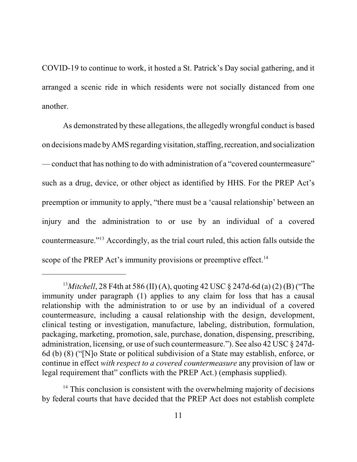COVID-19 to continue to work, it hosted a St. Patrick's Day social gathering, and it arranged a scenic ride in which residents were not socially distanced from one another.

As demonstrated by these allegations, the allegedly wrongful conduct is based on decisions made by AMS regarding visitation, staffing, recreation, and socialization — conduct that has nothing to do with administration of a "covered countermeasure" such as a drug, device, or other object as identified by HHS. For the PREP Act's preemption or immunity to apply, "there must be a 'causal relationship' between an injury and the administration to or use by an individual of a covered countermeasure."<sup>13</sup> Accordingly, as the trial court ruled, this action falls outside the scope of the PREP Act's immunity provisions or preemptive effect.<sup>14</sup>

<sup>13</sup>*Mitchell*, 28 F4th at 586 (II) (A), quoting 42 USC § 247d-6d (a) (2) (B) ("The immunity under paragraph (1) applies to any claim for loss that has a causal relationship with the administration to or use by an individual of a covered countermeasure, including a causal relationship with the design, development, clinical testing or investigation, manufacture, labeling, distribution, formulation, packaging, marketing, promotion, sale, purchase, donation, dispensing, prescribing, administration, licensing, or use of such countermeasure."). See also 42 USC § 247d-6d (b) (8) ("[N]o State or political subdivision of a State may establish, enforce, or continue in effect *with respect to a covered countermeasure* any provision of law or legal requirement that" conflicts with the PREP Act.) (emphasis supplied).

 $14$  This conclusion is consistent with the overwhelming majority of decisions by federal courts that have decided that the PREP Act does not establish complete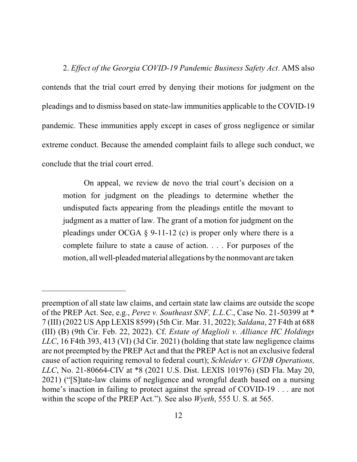2. *Effect of the Georgia COVID-19 Pandemic Business Safety Act*. AMS also contends that the trial court erred by denying their motions for judgment on the pleadings and to dismiss based on state-law immunities applicable to the COVID-19 pandemic. These immunities apply except in cases of gross negligence or similar extreme conduct. Because the amended complaint fails to allege such conduct, we conclude that the trial court erred.

On appeal, we review de novo the trial court's decision on a motion for judgment on the pleadings to determine whether the undisputed facts appearing from the pleadings entitle the movant to judgment as a matter of law. The grant of a motion for judgment on the pleadings under OCGA  $\S$  9-11-12 (c) is proper only where there is a complete failure to state a cause of action. . . . For purposes of the motion, all well-pleadedmaterial allegations by the nonmovant are taken

preemption of all state law claims, and certain state law claims are outside the scope of the PREP Act. See, e.g., *Perez v. Southeast SNF, L.L.C*., Case No. 21-50399 at \* 7 (III) (2022 US App LEXIS 8599) (5th Cir. Mar. 31, 2022); *Saldana*, 27 F4th at 688 (III) (B) (9th Cir. Feb. 22, 2022). Cf. *Estate of Maglioli v. Alliance HC Holdings LLC*, 16 F4th 393, 413 (VI) (3d Cir. 2021) (holding that state law negligence claims are not preempted by the PREP Act and that the PREP Act is not an exclusive federal cause of action requiring removal to federal court); *Schleider v. GVDB Operations, LLC*, No. 21-80664-CIV at \*8 (2021 U.S. Dist. LEXIS 101976) (SD Fla. May 20, 2021) ("[S]tate-law claims of negligence and wrongful death based on a nursing home's inaction in failing to protect against the spread of COVID-19 . . . are not within the scope of the PREP Act."). See also *Wyeth*, 555 U. S. at 565.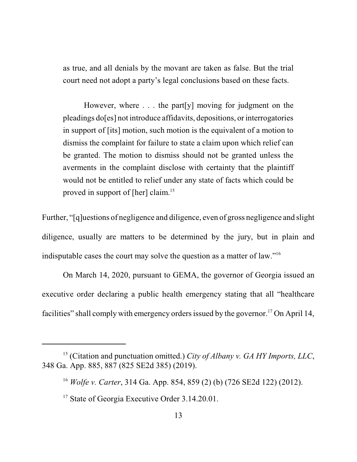as true, and all denials by the movant are taken as false. But the trial court need not adopt a party's legal conclusions based on these facts.

However, where  $\ldots$  the part [y] moving for judgment on the pleadings do[es] not introduce affidavits, depositions, or interrogatories in support of [its] motion, such motion is the equivalent of a motion to dismiss the complaint for failure to state a claim upon which relief can be granted. The motion to dismiss should not be granted unless the averments in the complaint disclose with certainty that the plaintiff would not be entitled to relief under any state of facts which could be proved in support of [her] claim.<sup>15</sup>

Further, "[q]uestions of negligence and diligence, even of gross negligence and slight diligence, usually are matters to be determined by the jury, but in plain and indisputable cases the court may solve the question as a matter of law."<sup>16</sup>

On March 14, 2020, pursuant to GEMA, the governor of Georgia issued an executive order declaring a public health emergency stating that all "healthcare facilities" shall comply with emergency orders issued by the governor.<sup>17</sup> On April 14,

<sup>15</sup> (Citation and punctuation omitted.) *City of Albany v. GA HY Imports, LLC*, 348 Ga. App. 885, 887 (825 SE2d 385) (2019).

<sup>16</sup>  *Wolfe v. Carter*, 314 Ga. App. 854, 859 (2) (b) (726 SE2d 122) (2012).

<sup>&</sup>lt;sup>17</sup> State of Georgia Executive Order 3.14.20.01.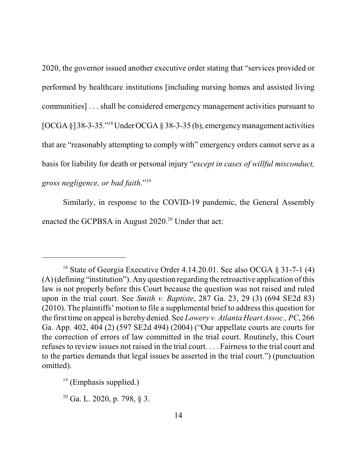2020, the governor issued another executive order stating that "services provided or performed by healthcare institutions [including nursing homes and assisted living communities] . . . shall be considered emergency management activities pursuant to [OCGA §] 38-3-35." <sup>18</sup> UnderOCGA § 38-3-35 (b), emergencymanagement activities that are "reasonably attempting to comply with" emergency orders cannot serve as a basis for liability for death or personal injury "*except in cases of willful misconduct, gross negligence, or bad faith*."<sup>19</sup>

Similarly, in response to the COVID-19 pandemic, the General Assembly enacted the GCPBSA in August 2020.<sup>20</sup> Under that act:

<sup>&</sup>lt;sup>18</sup> State of Georgia Executive Order 4.14.20.01. See also OCGA § 31-7-1 (4) (A) (defining "institution"). Any question regarding the retroactive application of this law is not properly before this Court because the question was not raised and ruled upon in the trial court. See *Smith v. Baptiste*, 287 Ga. 23, 29 (3) (694 SE2d 83) (2010). The plaintiffs' motion to file a supplemental brief to address this question for the first time on appeal is hereby denied. See *Lowery v. Atlanta Heart Assoc., PC*, 266 Ga. App. 402, 404 (2) (597 SE2d 494) (2004) ("Our appellate courts are courts for the correction of errors of law committed in the trial court. Routinely, this Court refuses to review issues not raised in the trial court. . . . Fairness to the trial court and to the parties demands that legal issues be asserted in the trial court.") (punctuation omitted).

<sup>&</sup>lt;sup>19</sup> (Emphasis supplied.)

<sup>&</sup>lt;sup>20</sup> Ga. L. 2020, p. 798, § 3.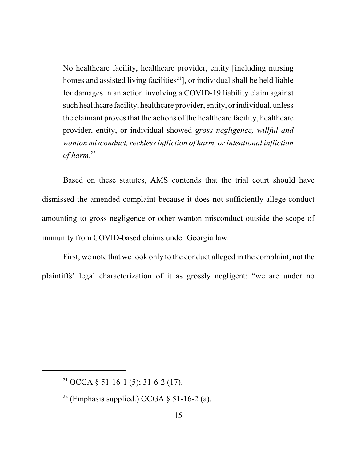No healthcare facility, healthcare provider, entity [including nursing homes and assisted living facilities<sup>21</sup>], or individual shall be held liable for damages in an action involving a COVID-19 liability claim against such healthcare facility, healthcare provider, entity, or individual, unless the claimant proves that the actions of the healthcare facility, healthcare provider, entity, or individual showed *gross negligence, willful and wanton misconduct, recklessinfliction of harm, orintentional infliction of harm*. 22

Based on these statutes, AMS contends that the trial court should have dismissed the amended complaint because it does not sufficiently allege conduct amounting to gross negligence or other wanton misconduct outside the scope of immunity from COVID-based claims under Georgia law.

First, we note that we look only to the conduct alleged in the complaint, not the plaintiffs' legal characterization of it as grossly negligent: "we are under no

<sup>&</sup>lt;sup>21</sup> OCGA § 51-16-1 (5); 31-6-2 (17).

 $22$  (Emphasis supplied.) OCGA  $\S$  51-16-2 (a).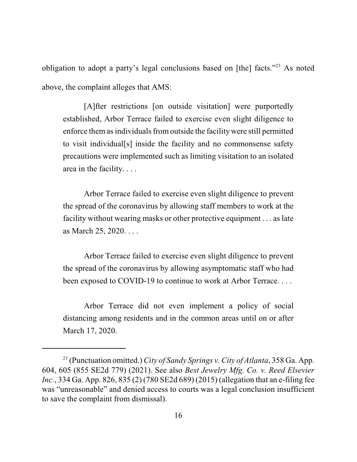obligation to adopt a party's legal conclusions based on [the] facts."<sup>23</sup> As noted above, the complaint alleges that AMS:

[A]fter restrictions [on outside visitation] were purportedly established, Arbor Terrace failed to exercise even slight diligence to enforce them as individuals from outside the facility were still permitted to visit individual[s] inside the facility and no commonsense safety precautions were implemented such as limiting visitation to an isolated area in the facility. . . .

Arbor Terrace failed to exercise even slight diligence to prevent the spread of the coronavirus by allowing staff members to work at the facility without wearing masks or other protective equipment . . . as late as March 25, 2020. . . .

Arbor Terrace failed to exercise even slight diligence to prevent the spread of the coronavirus by allowing asymptomatic staff who had been exposed to COVID-19 to continue to work at Arbor Terrace. . . .

Arbor Terrace did not even implement a policy of social distancing among residents and in the common areas until on or after March 17, 2020.

<sup>23</sup> (Punctuation omitted.)*City of Sandy Springs v. City of Atlanta*, 358 Ga. App. 604, 605 (855 SE2d 779) (2021). See also *Best Jewelry Mfg. Co. v. Reed Elsevier Inc.*, 334 Ga. App. 826, 835 (2) (780 SE2d 689) (2015) (allegation that an e-filing fee was "unreasonable" and denied access to courts was a legal conclusion insufficient to save the complaint from dismissal).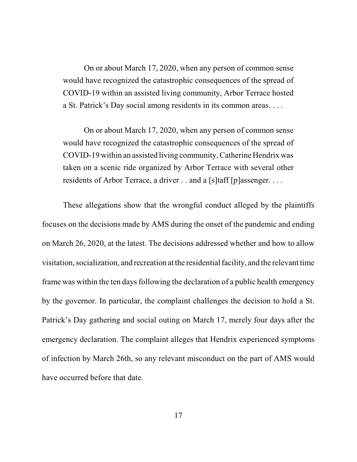On or about March 17, 2020, when any person of common sense would have recognized the catastrophic consequences of the spread of COVID-19 within an assisted living community, Arbor Terrace hosted a St. Patrick's Day social among residents in its common areas. . . .

On or about March 17, 2020, when any person of common sense would have recognized the catastrophic consequences of the spread of COVID-19 within an assisted living community, Catherine Hendrix was taken on a scenic ride organized by Arbor Terrace with several other residents of Arbor Terrace, a driver . . and a [s]taff [p]assenger. . . . .

These allegations show that the wrongful conduct alleged by the plaintiffs focuses on the decisions made by AMS during the onset of the pandemic and ending on March 26, 2020, at the latest. The decisions addressed whether and how to allow visitation, socialization, and recreation at the residentialfacility, and the relevant time frame was within the ten days following the declaration of a public health emergency by the governor. In particular, the complaint challenges the decision to hold a St. Patrick's Day gathering and social outing on March 17, merely four days after the emergency declaration. The complaint alleges that Hendrix experienced symptoms of infection by March 26th, so any relevant misconduct on the part of AMS would have occurred before that date.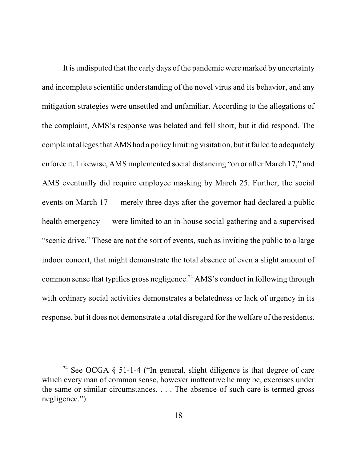It is undisputed that the early days of the pandemic were marked by uncertainty and incomplete scientific understanding of the novel virus and its behavior, and any mitigation strategies were unsettled and unfamiliar. According to the allegations of the complaint, AMS's response was belated and fell short, but it did respond. The complaint alleges that AMS had a policy limiting visitation, but it failed to adequately enforce it. Likewise, AMS implemented social distancing "on or after March 17," and AMS eventually did require employee masking by March 25. Further, the social events on March 17 — merely three days after the governor had declared a public health emergency — were limited to an in-house social gathering and a supervised "scenic drive." These are not the sort of events, such as inviting the public to a large indoor concert, that might demonstrate the total absence of even a slight amount of common sense that typifies gross negligence.<sup>24</sup> AMS's conduct in following through with ordinary social activities demonstrates a belatedness or lack of urgency in its response, but it does not demonstrate a total disregard for the welfare of the residents.

<sup>&</sup>lt;sup>24</sup> See OCGA  $\S$  51-1-4 ("In general, slight diligence is that degree of care which every man of common sense, however inattentive he may be, exercises under the same or similar circumstances. . . . The absence of such care is termed gross negligence.").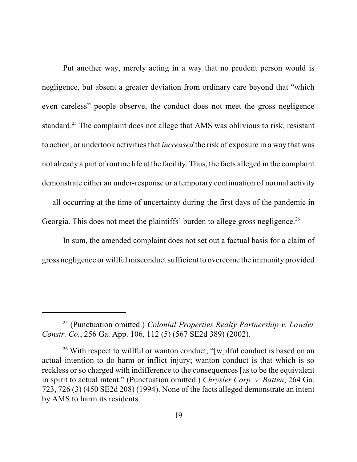Put another way, merely acting in a way that no prudent person would is negligence, but absent a greater deviation from ordinary care beyond that "which even careless" people observe, the conduct does not meet the gross negligence standard.<sup>25</sup> The complaint does not allege that AMS was oblivious to risk, resistant to action, or undertook activities that *increased* the risk of exposure in a way that was not already a part of routine life at the facility. Thus, the facts alleged in the complaint demonstrate either an under-response or a temporary continuation of normal activity — all occurring at the time of uncertainty during the first days of the pandemic in Georgia. This does not meet the plaintiffs' burden to allege gross negligence.<sup>26</sup>

In sum, the amended complaint does not set out a factual basis for a claim of gross negligence or willful misconduct sufficient to overcome the immunity provided

<sup>25</sup> (Punctuation omitted.) *Colonial Properties Realty Partnership v. Lowder Constr. Co.*, 256 Ga. App. 106, 112 (5) (567 SE2d 389) (2002).

<sup>&</sup>lt;sup>26</sup> With respect to willful or wanton conduct, "[w]ilful conduct is based on an actual intention to do harm or inflict injury; wanton conduct is that which is so reckless or so charged with indifference to the consequences [as to be the equivalent in spirit to actual intent." (Punctuation omitted.) *Chrysler Corp. v. Batten*, 264 Ga. 723, 726 (3) (450 SE2d 208) (1994). None of the facts alleged demonstrate an intent by AMS to harm its residents.